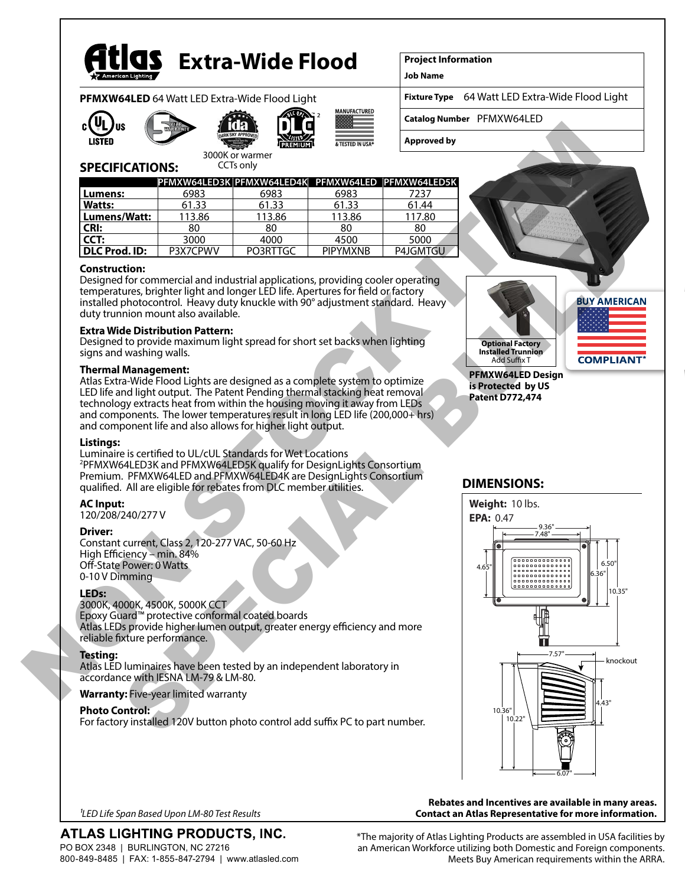

# **Extra-Wide Flood**

3000K or warmer CCTs only

**PFMXW64LED** 64 Watt LED Extra-Wide Flood Light









2

### **Project Information**

**Job Name**

**Fixture Type** 64 Watt LED Extra-Wide Flood Light

**Catalog Number** PFMXW64LED

**Approved by**

### **SPECIFICATIONS:**

|                |          | PFMXW64LED3K PFMXW64LED4K PFMXW64LED PFMXW64LED5K |                 |          |
|----------------|----------|---------------------------------------------------|-----------------|----------|
| Lumens:        | 6983     | 6983                                              | 6983            | 7237     |
| <b>Watts:</b>  | 61.33    | 61.33                                             | 61.33           | 61.44    |
| l Lumens/Watt: | 113.86   | 113.86                                            | 113.86          | 117.80   |
| l CRI:         | 80       | 80                                                | 80              | 80       |
| CCT:           | 3000     | 4000                                              | 4500            | 5000     |
| DLC Prod. ID:  | P3X7CPWV | PO3RTTGC                                          | <b>PIPYMXNB</b> | P4JGMTGL |

#### **Construction:**

Designed for commercial and industrial applications, providing cooler operating temperatures, brighter light and longer LED life. Apertures for field or factory installed photocontrol. Heavy duty knuckle with 90° adjustment standard. Heavy duty trunnion mount also available.

#### **Extra Wide Distribution Pattern:**

Designed to provide maximum light spread for short set backs when lighting signs and washing walls.

#### **Thermal Management:**

Atlas Extra-Wide Flood Lights are designed as a complete system to optimize LED life and light output. The Patent Pending thermal stacking heat removal technology extracts heat from within the housing moving it away from LEDs and components. The lower temperatures result in long LED life (200,000+ hrs) and component life and also allows for higher light output.

#### **Listings:**

Luminaire is certified to UL/cUL Standards for Wet Locations 2 PFMXW64LED3K and PFMXW64LED5K qualify for DesignLights Consortium Premium. PFMXW64LED and PFMXW64LED4K are DesignLights Consortium qualified. All are eligible for rebates from DLC member utilities.

**AC Input:** 120/208/240/277 V

#### **Driver:**

Constant current, Class 2, 120-277 VAC, 50-60 Hz High Efficiency – min. 84% Off-State Power: 0 Watts 0-10 V Dimming

#### **LEDs:**

3000K, 4000K, 4500K, 5000K CCT Epoxy Guard™ protective conformal coated boards Atlas LEDs provide higher lumen output, greater energy efficiency and more reliable fixture performance.

#### **Testing:**

Atlas LED luminaires have been tested by an independent laboratory in accordance with IESNA LM-79 & LM-80.

#### **Warranty:** Five-year limited warranty

#### **Photo Control:**

For factory installed 120V button photo control add suffix PC to part number.



### **is Protected by US Patent D772,474**

#### **DIMENSIONS:**



#### **Rebates and Incentives are available in many areas. Contact an Atlas Representative for more information.**

*1LED Life Span Based Upon LM-80 Test Results*

## ATLAS LIGHTING PRODUCTS, INC.

PO BOX 2348 | BURLINGTON, NC 27216 800-849-8485 | FAX: 1-855-847-2794 | www.atlasled.com \*The majority of Atlas Lighting Products are assembled in USA facilities by an American Workforce utilizing both Domestic and Foreign components. Meets Buy American requirements within the ARRA.